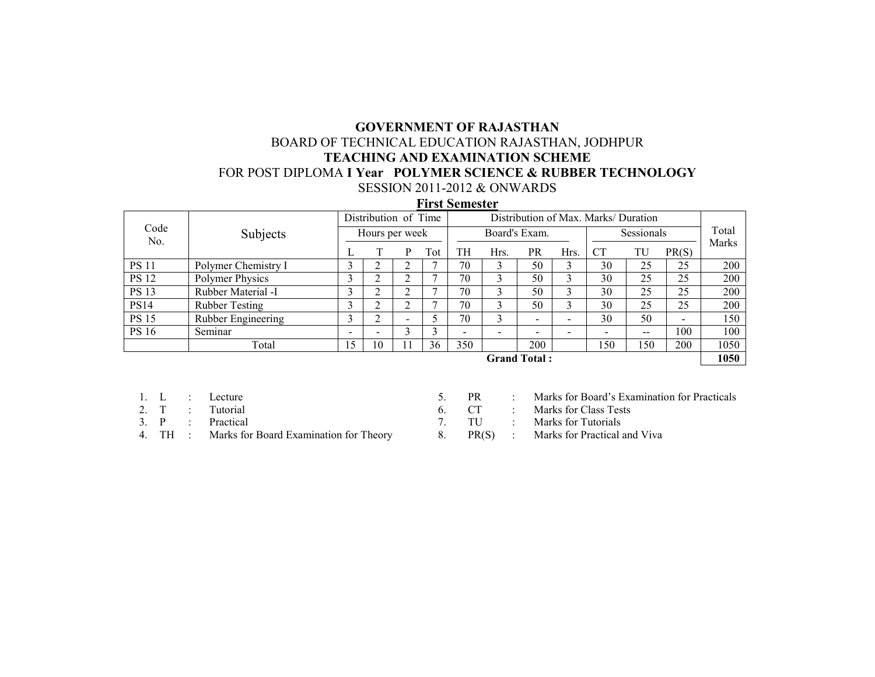# **GOVERNMENT OF RAJASTHAN**  BOARD OF TECHNICAL EDUCATION RAJASTHAN, JODHPUR **TEACHING AND EXAMINATION SCHEME FOR POST DIPLOMA I Year POLYMER SCIENCE & RUBBER TECHNOLOGY** SESSION 2011-2012 & ONWARDS

**First Semester**

|                        | Subjects              | Distribution of Time     |    |    |     | Distribution of Max. Marks/ Duration |               |                          |                          |                   |                          |       |       |
|------------------------|-----------------------|--------------------------|----|----|-----|--------------------------------------|---------------|--------------------------|--------------------------|-------------------|--------------------------|-------|-------|
| Code<br>N <sub>0</sub> |                       | Hours per week           |    |    |     |                                      | Board's Exam. |                          |                          | <b>Sessionals</b> |                          |       | Total |
|                        |                       |                          |    |    | Tot | TH                                   | Hrs.          | <b>PR</b>                | Hrs.                     | <b>CT</b>         | TU                       | PR(S) | Marks |
| <b>PS 11</b>           | Polymer Chemistry I   |                          |    |    |     | 70                                   |               | 50                       |                          | 30                | 25                       | 25    | 200   |
| <b>PS 12</b>           | Polymer Physics       | $\sqrt{2}$               | ◠  | ◠  |     | 70                                   |               | 50                       | ◠                        | 30                | 25                       | 25    | 200   |
| <b>PS 13</b>           | Rubber Material -I    | ◠                        |    | ↑  |     | 70                                   | $\sim$        | 50                       |                          | 30                | 25                       | 25    | 200   |
| <b>PS14</b>            | <b>Rubber Testing</b> |                          |    | ↑  |     | 70                                   |               | 50                       |                          | 30                | 25                       | 25    | 200   |
| <b>PS 15</b>           | Rubber Engineering    |                          |    | -  |     | 70                                   |               | $\overline{\phantom{0}}$ | $\overline{\phantom{0}}$ | 30                | 50                       | ۰     | 150   |
| <b>PS 16</b>           | Seminar               | $\overline{\phantom{a}}$ | -  | 3  |     |                                      |               |                          | $\overline{\phantom{0}}$ | -                 | $\overline{\phantom{m}}$ | 100   | 100   |
|                        | Total                 | .5                       | 10 | 11 | 36  | 350                                  |               | 200                      |                          | 150               | 150                      | 200   | 1050  |
|                        |                       |                          |    |    |     |                                      |               | <b>Grand Total:</b>      |                          |                   |                          |       | 1050  |

- 
- 
- 4. TH : Marks for Board Examination for Theory 8.  $PR(S)$  :
- 1. L : Lecture 5. PR : Marks for Board's Examination for Practicals

2. T : Tutorial 6. CT : Marks for Class Tests

3. P : Practical 7. TU : Marks for Tutorials

Marks for Practical and Viva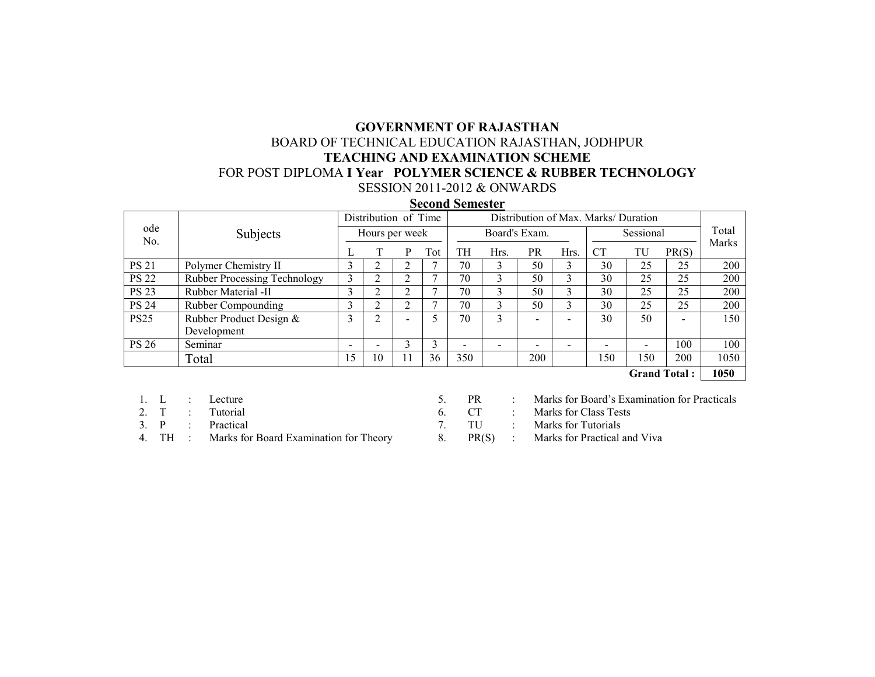# **GOVERNMENT OF RAJASTHAN**  BOARD OF TECHNICAL EDUCATION RAJASTHAN, JODHPUR **TEACHING AND EXAMINATION SCHEME FOR POST DIPLOMA I Year POLYMER SCIENCE & RUBBER TECHNOLOGY** SESSION 2011-2012 & ONWARDS

### **Second Semester**

|              | Subjects                     | Distribution of Time |                |    |        |               |      |     |                          |           |                      |       |       |
|--------------|------------------------------|----------------------|----------------|----|--------|---------------|------|-----|--------------------------|-----------|----------------------|-------|-------|
| ode<br>No.   |                              | Hours per week       |                |    |        | Board's Exam. |      |     |                          | Sessional |                      |       | Total |
|              |                              |                      |                |    | Tot    | TH            | Hrs. | PR  | Hrs.                     | <b>CT</b> | TU                   | PR(S) | Marks |
| <b>PS 21</b> | Polymer Chemistry II         |                      |                |    |        | 70            |      | 50  |                          | 30        | 25                   | 25    | 200   |
| <b>PS 22</b> | Rubber Processing Technology |                      |                | ↑  |        | 70            |      | 50  |                          | 30        | 25                   | 25    | 200   |
| <b>PS 23</b> | Rubber Material -II          |                      |                | ↑  |        | 70            |      | 50  |                          | 30        | 25                   | 25    | 200   |
| <b>PS 24</b> | Rubber Compounding           |                      |                | ↑  |        | 70            |      | 50  |                          | 30        | 25                   | 25    | 200   |
| <b>PS25</b>  | Rubber Product Design &      |                      | $\mathfrak{D}$ | -  |        | 70            |      |     | $\overline{\phantom{0}}$ | 30        | 50                   | -     | 150   |
|              | Development                  |                      |                |    |        |               |      |     |                          |           |                      |       |       |
| <b>PS 26</b> | Seminar                      | $\sim$               |                | 3  | $\sim$ |               |      |     |                          |           |                      | 100   | 100   |
|              | Total                        | 5                    | 10             | 11 | 36     | 350           |      | 200 |                          | 150       | 150                  | 200   | 1050  |
|              |                              |                      |                |    |        |               |      |     |                          |           | $\alpha$ in $\alpha$ |       | 10.50 |

**Grand Total : 1050** 

|  | Lecture |  |
|--|---------|--|
|  |         |  |

4. TH : Marks for Board Examination for Theory 8.  $PR(S)$  :

5. PR : Marks for Board's Examination for Practicals

2. T : Tutorial 6. CT : Marks for Class Tests

3. P : Practical 7. TU : Marks for Tutorials

Marks for Practical and Viva